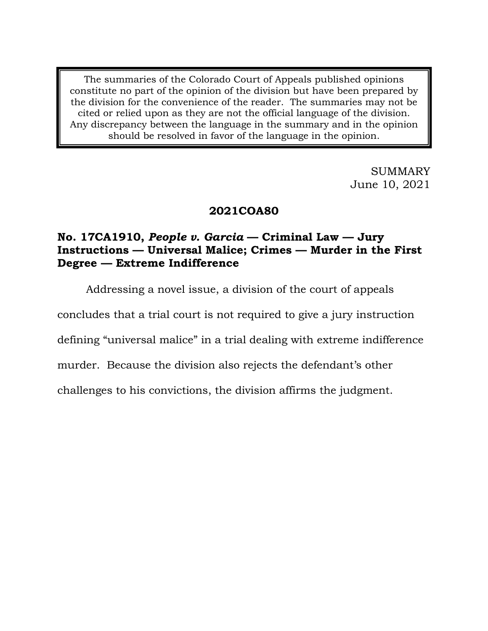The summaries of the Colorado Court of Appeals published opinions constitute no part of the opinion of the division but have been prepared by the division for the convenience of the reader. The summaries may not be cited or relied upon as they are not the official language of the division. Any discrepancy between the language in the summary and in the opinion should be resolved in favor of the language in the opinion.

> SUMMARY June 10, 2021

## **2021COA80**

## **No. 17CA1910,** *People v. Garcia* **— Criminal Law — Jury Instructions — Universal Malice; Crimes — Murder in the First Degree — Extreme Indifference**

Addressing a novel issue, a division of the court of appeals

concludes that a trial court is not required to give a jury instruction

defining "universal malice" in a trial dealing with extreme indifference

murder. Because the division also rejects the defendant's other

challenges to his convictions, the division affirms the judgment.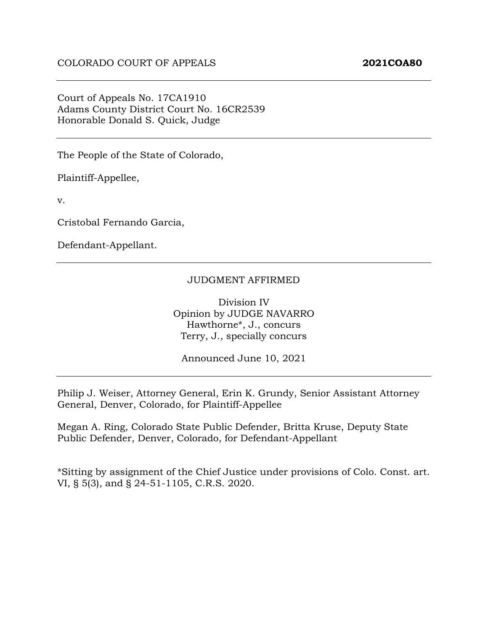Court of Appeals No. 17CA1910 Adams County District Court No. 16CR2539 Honorable Donald S. Quick, Judge

The People of the State of Colorado,

Plaintiff-Appellee,

v.

Cristobal Fernando Garcia,

Defendant-Appellant.

#### JUDGMENT AFFIRMED

Division IV Opinion by JUDGE NAVARRO Hawthorne\*, J., concurs Terry, J., specially concurs

Announced June 10, 2021

Philip J. Weiser, Attorney General, Erin K. Grundy, Senior Assistant Attorney General, Denver, Colorado, for Plaintiff-Appellee

Megan A. Ring, Colorado State Public Defender, Britta Kruse, Deputy State Public Defender, Denver, Colorado, for Defendant-Appellant

\*Sitting by assignment of the Chief Justice under provisions of Colo. Const. art. VI, § 5(3), and § 24-51-1105, C.R.S. 2020.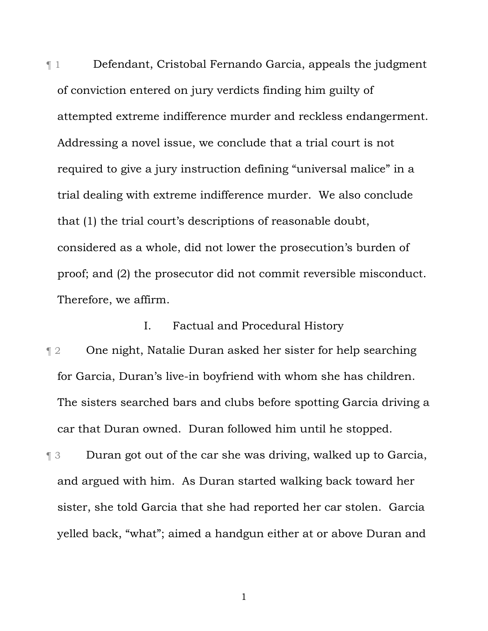¶ 1 Defendant, Cristobal Fernando Garcia, appeals the judgment of conviction entered on jury verdicts finding him guilty of attempted extreme indifference murder and reckless endangerment. Addressing a novel issue, we conclude that a trial court is not required to give a jury instruction defining "universal malice" in a trial dealing with extreme indifference murder. We also conclude that (1) the trial court's descriptions of reasonable doubt, considered as a whole, did not lower the prosecution's burden of proof; and (2) the prosecutor did not commit reversible misconduct. Therefore, we affirm.

I. Factual and Procedural History

¶ 2 One night, Natalie Duran asked her sister for help searching for Garcia, Duran's live-in boyfriend with whom she has children. The sisters searched bars and clubs before spotting Garcia driving a car that Duran owned. Duran followed him until he stopped.

¶ 3 Duran got out of the car she was driving, walked up to Garcia, and argued with him. As Duran started walking back toward her sister, she told Garcia that she had reported her car stolen. Garcia yelled back, "what"; aimed a handgun either at or above Duran and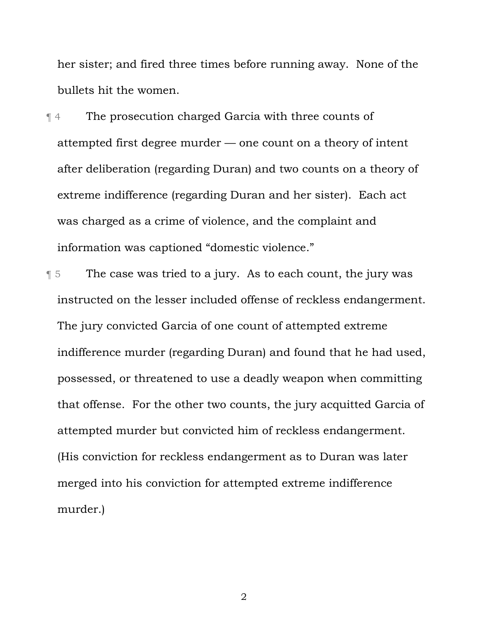her sister; and fired three times before running away. None of the bullets hit the women.

¶ 4 The prosecution charged Garcia with three counts of attempted first degree murder — one count on a theory of intent after deliberation (regarding Duran) and two counts on a theory of extreme indifference (regarding Duran and her sister). Each act was charged as a crime of violence, and the complaint and information was captioned "domestic violence."

¶ 5 The case was tried to a jury. As to each count, the jury was instructed on the lesser included offense of reckless endangerment. The jury convicted Garcia of one count of attempted extreme indifference murder (regarding Duran) and found that he had used, possessed, or threatened to use a deadly weapon when committing that offense. For the other two counts, the jury acquitted Garcia of attempted murder but convicted him of reckless endangerment. (His conviction for reckless endangerment as to Duran was later merged into his conviction for attempted extreme indifference murder.)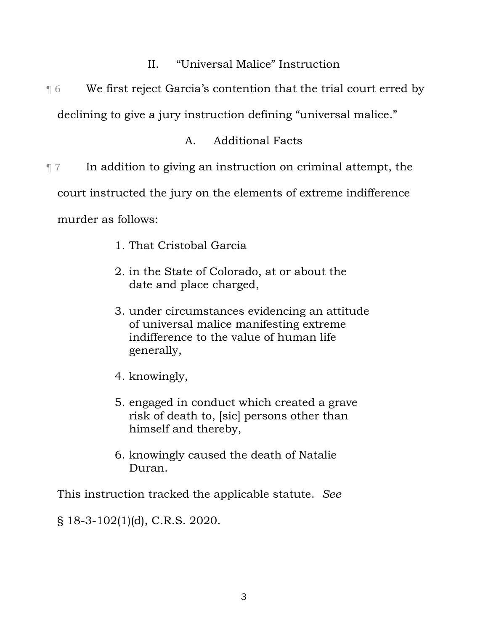- II. "Universal Malice" Instruction
- ¶ 6 We first reject Garcia's contention that the trial court erred by

declining to give a jury instruction defining "universal malice."

# A. Additional Facts

 $\P$  7 In addition to giving an instruction on criminal attempt, the court instructed the jury on the elements of extreme indifference murder as follows:

- 1. That Cristobal Garcia
- 2. in the State of Colorado, at or about the date and place charged,
- 3. under circumstances evidencing an attitude of universal malice manifesting extreme indifference to the value of human life generally,
- 4. knowingly,
- 5. engaged in conduct which created a grave risk of death to, [sic] persons other than himself and thereby,
- 6. knowingly caused the death of Natalie Duran.

This instruction tracked the applicable statute. *See* 

§ 18-3-102(1)(d), C.R.S. 2020.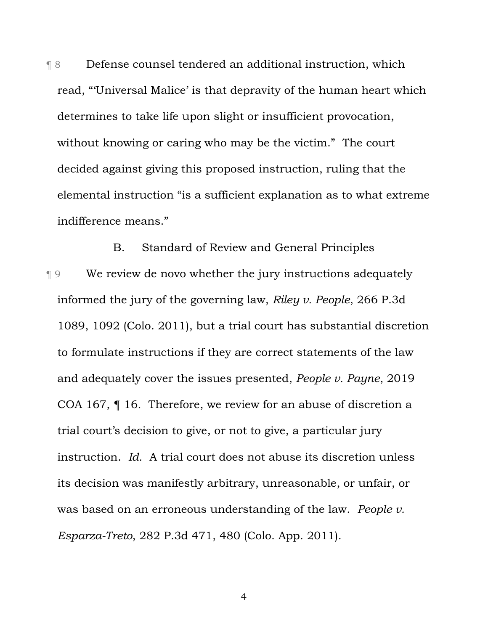¶ 8 Defense counsel tendered an additional instruction, which read, "'Universal Malice' is that depravity of the human heart which determines to take life upon slight or insufficient provocation, without knowing or caring who may be the victim." The court decided against giving this proposed instruction, ruling that the elemental instruction "is a sufficient explanation as to what extreme indifference means."

B. Standard of Review and General Principles ¶ 9 We review de novo whether the jury instructions adequately informed the jury of the governing law, *Riley v. People*, 266 P.3d 1089, 1092 (Colo. 2011), but a trial court has substantial discretion to formulate instructions if they are correct statements of the law and adequately cover the issues presented, *People v. Payne*, 2019 COA 167, ¶ 16. Therefore, we review for an abuse of discretion a trial court's decision to give, or not to give, a particular jury instruction. *Id.* A trial court does not abuse its discretion unless its decision was manifestly arbitrary, unreasonable, or unfair, or was based on an erroneous understanding of the law. *People v. Esparza-Treto*, 282 P.3d 471, 480 (Colo. App. 2011).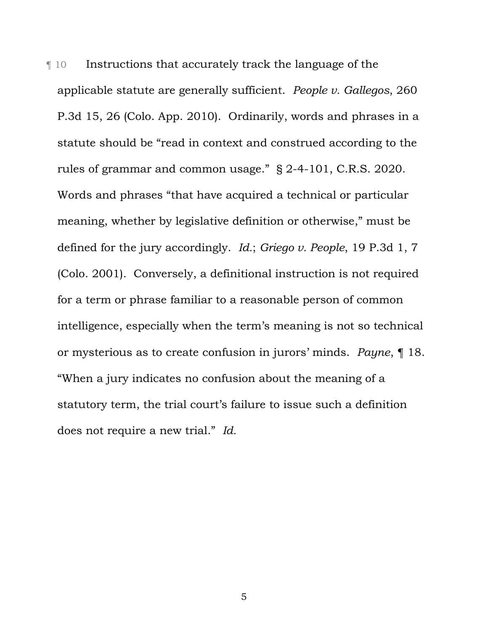¶ 10 Instructions that accurately track the language of the applicable statute are generally sufficient. *People v. Gallegos*, 260 P.3d 15, 26 (Colo. App. 2010). Ordinarily, words and phrases in a statute should be "read in context and construed according to the rules of grammar and common usage." § 2-4-101, C.R.S. 2020. Words and phrases "that have acquired a technical or particular meaning, whether by legislative definition or otherwise," must be defined for the jury accordingly. *Id.*; *Griego v. People*, 19 P.3d 1, 7 (Colo. 2001). Conversely, a definitional instruction is not required for a term or phrase familiar to a reasonable person of common intelligence, especially when the term's meaning is not so technical or mysterious as to create confusion in jurors' minds. *Payne*, ¶ 18. "When a jury indicates no confusion about the meaning of a statutory term, the trial court's failure to issue such a definition does not require a new trial." *Id.*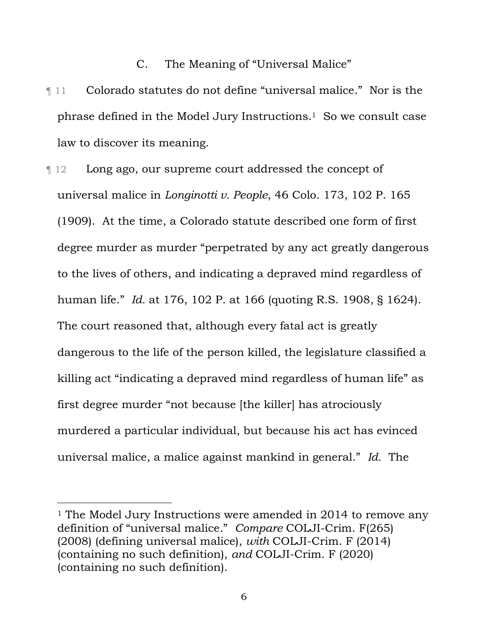#### C. The Meaning of "Universal Malice"

- ¶ 11 Colorado statutes do not define "universal malice." Nor is the phrase defined in the Model Jury Instructions.1 So we consult case law to discover its meaning.
- ¶ 12 Long ago, our supreme court addressed the concept of universal malice in *Longinotti v. People*, 46 Colo. 173, 102 P. 165 (1909). At the time, a Colorado statute described one form of first degree murder as murder "perpetrated by any act greatly dangerous to the lives of others, and indicating a depraved mind regardless of human life." *Id.* at 176, 102 P. at 166 (quoting R.S. 1908, § 1624). The court reasoned that, although every fatal act is greatly dangerous to the life of the person killed, the legislature classified a killing act "indicating a depraved mind regardless of human life" as first degree murder "not because [the killer] has atrociously murdered a particular individual, but because his act has evinced universal malice, a malice against mankind in general." *Id.* The

<sup>&</sup>lt;sup>1</sup> The Model Jury Instructions were amended in 2014 to remove any definition of "universal malice." *Compare* COLJI-Crim. F(265) (2008) (defining universal malice), *with* COLJI-Crim. F (2014) (containing no such definition), *and* COLJI-Crim. F (2020) (containing no such definition).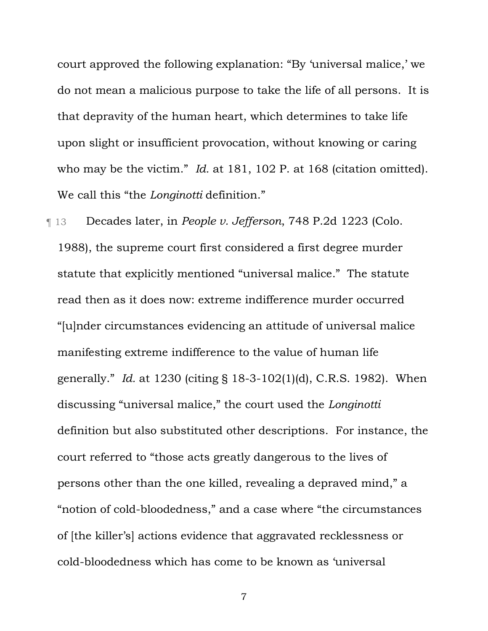court approved the following explanation: "By 'universal malice,' we do not mean a malicious purpose to take the life of all persons. It is that depravity of the human heart, which determines to take life upon slight or insufficient provocation, without knowing or caring who may be the victim." *Id.* at 181, 102 P. at 168 (citation omitted). We call this "the *Longinotti* definition."

¶ 13 Decades later, in *People v. Jefferson*, 748 P.2d 1223 (Colo. 1988), the supreme court first considered a first degree murder statute that explicitly mentioned "universal malice." The statute read then as it does now: extreme indifference murder occurred "[u]nder circumstances evidencing an attitude of universal malice manifesting extreme indifference to the value of human life generally." *Id.* at 1230 (citing § 18-3-102(1)(d), C.R.S. 1982). When discussing "universal malice," the court used the *Longinotti* definition but also substituted other descriptions. For instance, the court referred to "those acts greatly dangerous to the lives of persons other than the one killed, revealing a depraved mind," a "notion of cold-bloodedness," and a case where "the circumstances of [the killer's] actions evidence that aggravated recklessness or cold-bloodedness which has come to be known as 'universal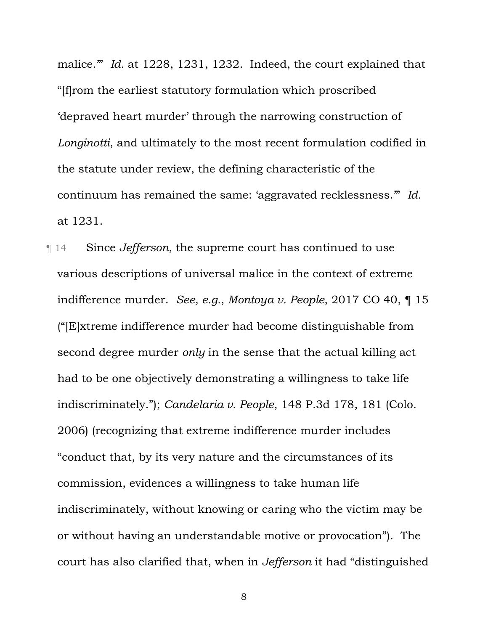malice.'" *Id.* at 1228, 1231, 1232. Indeed, the court explained that "[f]rom the earliest statutory formulation which proscribed 'depraved heart murder' through the narrowing construction of *Longinotti*, and ultimately to the most recent formulation codified in the statute under review, the defining characteristic of the continuum has remained the same: 'aggravated recklessness.'" *Id.* at 1231.

¶ 14 Since *Jefferson*, the supreme court has continued to use various descriptions of universal malice in the context of extreme indifference murder. *See, e.g.*, *Montoya v. People*, 2017 CO 40, ¶ 15 ("[E]xtreme indifference murder had become distinguishable from second degree murder *only* in the sense that the actual killing act had to be one objectively demonstrating a willingness to take life indiscriminately."); *Candelaria v. People*, 148 P.3d 178, 181 (Colo. 2006) (recognizing that extreme indifference murder includes "conduct that, by its very nature and the circumstances of its commission, evidences a willingness to take human life indiscriminately, without knowing or caring who the victim may be or without having an understandable motive or provocation"). The court has also clarified that, when in *Jefferson* it had "distinguished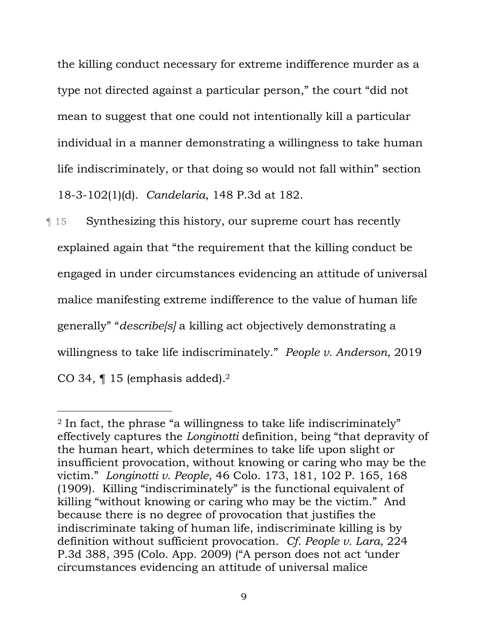the killing conduct necessary for extreme indifference murder as a type not directed against a particular person," the court "did not mean to suggest that one could not intentionally kill a particular individual in a manner demonstrating a willingness to take human life indiscriminately, or that doing so would not fall within" section 18-3-102(1)(d). *Candelaria*, 148 P.3d at 182.

¶ 15 Synthesizing this history, our supreme court has recently explained again that "the requirement that the killing conduct be engaged in under circumstances evidencing an attitude of universal malice manifesting extreme indifference to the value of human life generally" "*describe[s]* a killing act objectively demonstrating a willingness to take life indiscriminately." *People v. Anderson*, 2019 CO 34, ¶ 15 (emphasis added).2

<sup>2</sup> In fact, the phrase "a willingness to take life indiscriminately" effectively captures the *Longinotti* definition, being "that depravity of the human heart, which determines to take life upon slight or insufficient provocation, without knowing or caring who may be the victim." *Longinotti v. People*, 46 Colo. 173, 181, 102 P. 165, 168 (1909). Killing "indiscriminately" is the functional equivalent of killing "without knowing or caring who may be the victim." And because there is no degree of provocation that justifies the indiscriminate taking of human life, indiscriminate killing is by definition without sufficient provocation. *Cf. People v. Lara*, 224 P.3d 388, 395 (Colo. App. 2009) ("A person does not act 'under circumstances evidencing an attitude of universal malice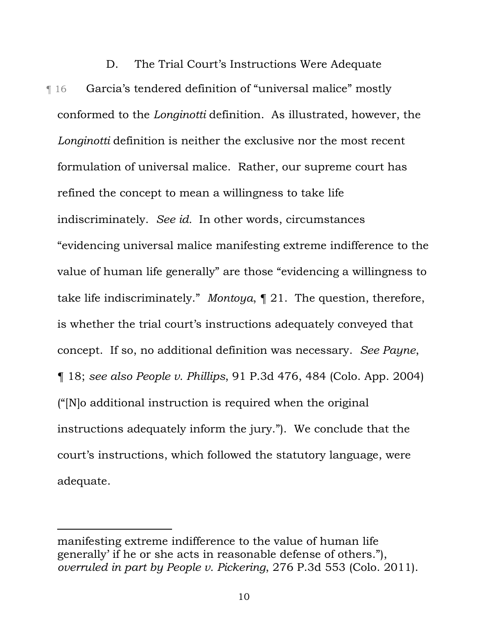D. The Trial Court's Instructions Were Adequate ¶ 16 Garcia's tendered definition of "universal malice" mostly conformed to the *Longinotti* definition. As illustrated, however, the *Longinotti* definition is neither the exclusive nor the most recent formulation of universal malice. Rather, our supreme court has refined the concept to mean a willingness to take life indiscriminately. *See id.* In other words, circumstances "evidencing universal malice manifesting extreme indifference to the value of human life generally" are those "evidencing a willingness to take life indiscriminately." *Montoya*, ¶ 21. The question, therefore, is whether the trial court's instructions adequately conveyed that concept. If so, no additional definition was necessary. *See Payne*, ¶ 18; *see also People v. Phillips*, 91 P.3d 476, 484 (Colo. App. 2004) ("[N]o additional instruction is required when the original instructions adequately inform the jury."). We conclude that the court's instructions, which followed the statutory language, were adequate.

manifesting extreme indifference to the value of human life generally' if he or she acts in reasonable defense of others."), *overruled in part by People v. Pickering*, 276 P.3d 553 (Colo. 2011).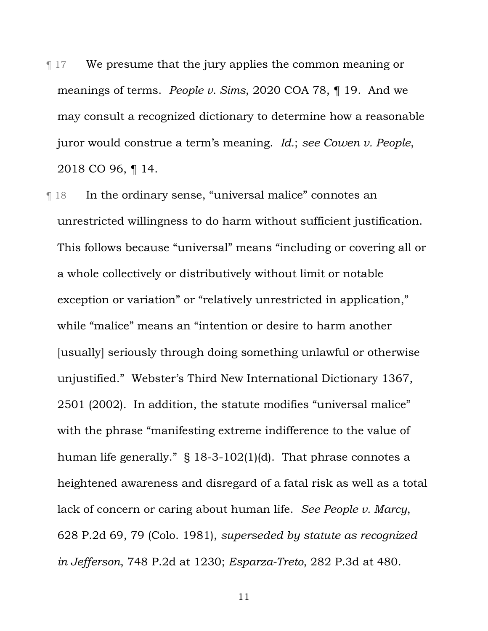- ¶ 17 We presume that the jury applies the common meaning or meanings of terms. *People v. Sims*, 2020 COA 78, ¶ 19. And we may consult a recognized dictionary to determine how a reasonable juror would construe a term's meaning. *Id.*; *see Cowen v. People*, 2018 CO 96, ¶ 14.
- ¶ 18 In the ordinary sense, "universal malice" connotes an unrestricted willingness to do harm without sufficient justification. This follows because "universal" means "including or covering all or a whole collectively or distributively without limit or notable exception or variation" or "relatively unrestricted in application," while "malice" means an "intention or desire to harm another [usually] seriously through doing something unlawful or otherwise unjustified." Webster's Third New International Dictionary 1367, 2501 (2002). In addition, the statute modifies "universal malice" with the phrase "manifesting extreme indifference to the value of human life generally." § 18-3-102(1)(d). That phrase connotes a heightened awareness and disregard of a fatal risk as well as a total lack of concern or caring about human life. *See People v. Marcy*, 628 P.2d 69, 79 (Colo. 1981), *superseded by statute as recognized in Jefferson*, 748 P.2d at 1230; *Esparza-Treto*, 282 P.3d at 480.
	- 11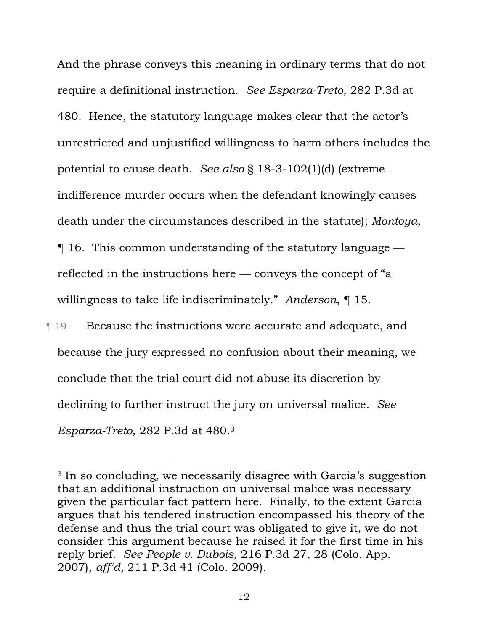And the phrase conveys this meaning in ordinary terms that do not require a definitional instruction. *See Esparza-Treto*, 282 P.3d at 480. Hence, the statutory language makes clear that the actor's unrestricted and unjustified willingness to harm others includes the potential to cause death. *See also* § 18-3-102(1)(d) (extreme indifference murder occurs when the defendant knowingly causes death under the circumstances described in the statute); *Montoya*, ¶ 16. This common understanding of the statutory language reflected in the instructions here — conveys the concept of "a willingness to take life indiscriminately." *Anderson*, ¶ 15.

**Tecause the instructions were accurate and adequate, and** because the jury expressed no confusion about their meaning, we conclude that the trial court did not abuse its discretion by declining to further instruct the jury on universal malice. *See Esparza-Treto*, 282 P.3d at 480.3

<sup>3</sup> In so concluding, we necessarily disagree with Garcia's suggestion that an additional instruction on universal malice was necessary given the particular fact pattern here. Finally, to the extent Garcia argues that his tendered instruction encompassed his theory of the defense and thus the trial court was obligated to give it, we do not consider this argument because he raised it for the first time in his reply brief. *See People v. Dubois*, 216 P.3d 27, 28 (Colo. App. 2007), *aff'd*, 211 P.3d 41 (Colo. 2009).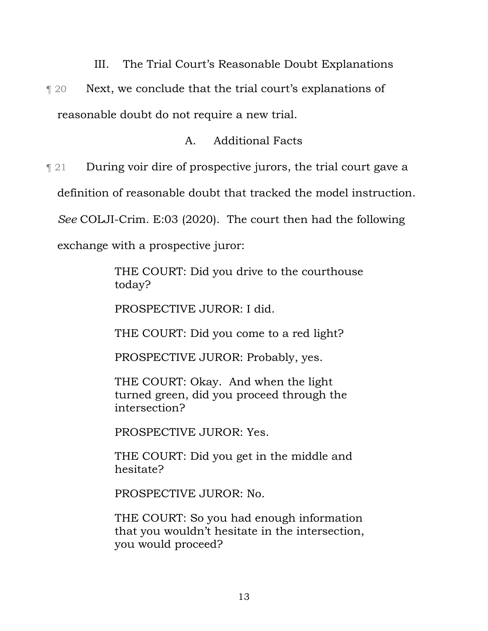III. The Trial Court's Reasonable Doubt Explanations

¶ 20 Next, we conclude that the trial court's explanations of reasonable doubt do not require a new trial.

## A. Additional Facts

¶ 21 During voir dire of prospective jurors, the trial court gave a

definition of reasonable doubt that tracked the model instruction.

*See* COLJI-Crim. E:03 (2020). The court then had the following

exchange with a prospective juror:

THE COURT: Did you drive to the courthouse today?

PROSPECTIVE JUROR: I did.

THE COURT: Did you come to a red light?

PROSPECTIVE JUROR: Probably, yes.

THE COURT: Okay. And when the light turned green, did you proceed through the intersection?

PROSPECTIVE JUROR: Yes.

THE COURT: Did you get in the middle and hesitate?

PROSPECTIVE JUROR: No.

THE COURT: So you had enough information that you wouldn't hesitate in the intersection, you would proceed?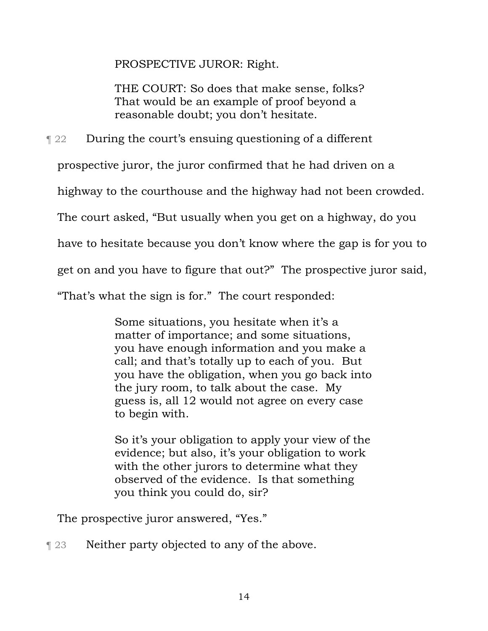PROSPECTIVE JUROR: Right.

THE COURT: So does that make sense, folks? That would be an example of proof beyond a reasonable doubt; you don't hesitate.

¶ 22 During the court's ensuing questioning of a different

prospective juror, the juror confirmed that he had driven on a

highway to the courthouse and the highway had not been crowded.

The court asked, "But usually when you get on a highway, do you

have to hesitate because you don't know where the gap is for you to

get on and you have to figure that out?" The prospective juror said,

"That's what the sign is for." The court responded:

Some situations, you hesitate when it's a matter of importance; and some situations, you have enough information and you make a call; and that's totally up to each of you. But you have the obligation, when you go back into the jury room, to talk about the case. My guess is, all 12 would not agree on every case to begin with.

So it's your obligation to apply your view of the evidence; but also, it's your obligation to work with the other jurors to determine what they observed of the evidence. Is that something you think you could do, sir?

The prospective juror answered, "Yes."

**T** 23 Neither party objected to any of the above.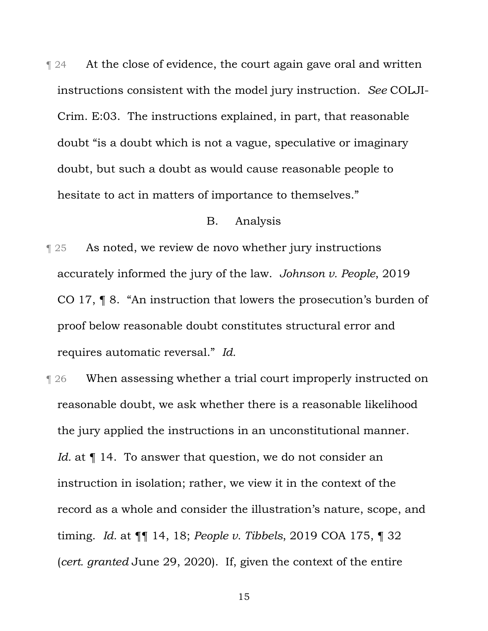$\parallel$  24 At the close of evidence, the court again gave oral and written instructions consistent with the model jury instruction. *See* COLJI-Crim. E:03. The instructions explained, in part, that reasonable doubt "is a doubt which is not a vague, speculative or imaginary doubt, but such a doubt as would cause reasonable people to hesitate to act in matters of importance to themselves."

#### B. Analysis

¶ 25 As noted, we review de novo whether jury instructions accurately informed the jury of the law. *Johnson v. People*, 2019 CO 17, ¶ 8. "An instruction that lowers the prosecution's burden of proof below reasonable doubt constitutes structural error and requires automatic reversal." *Id.*

**T** 26 When assessing whether a trial court improperly instructed on reasonable doubt, we ask whether there is a reasonable likelihood the jury applied the instructions in an unconstitutional manner. *Id.* at  $\P$  14. To answer that question, we do not consider an instruction in isolation; rather, we view it in the context of the record as a whole and consider the illustration's nature, scope, and timing. *Id.* at ¶¶ 14, 18; *People v. Tibbels*, 2019 COA 175, ¶ 32 (*cert. granted* June 29, 2020). If, given the context of the entire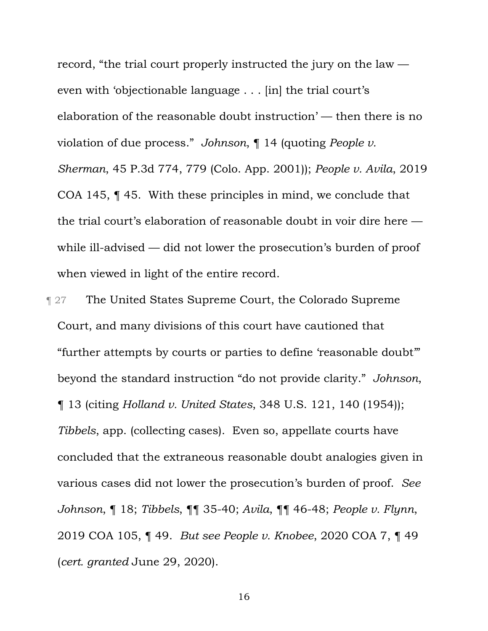record, "the trial court properly instructed the jury on the law even with 'objectionable language . . . [in] the trial court's elaboration of the reasonable doubt instruction' — then there is no violation of due process." *Johnson*, ¶ 14 (quoting *People v. Sherman*, 45 P.3d 774, 779 (Colo. App. 2001)); *People v. Avila*, 2019 COA 145, ¶ 45. With these principles in mind, we conclude that the trial court's elaboration of reasonable doubt in voir dire here while ill-advised — did not lower the prosecution's burden of proof when viewed in light of the entire record.

- **The United States Supreme Court, the Colorado Supreme** Court, and many divisions of this court have cautioned that "further attempts by courts or parties to define 'reasonable doubt'" beyond the standard instruction "do not provide clarity." *Johnson*, ¶ 13 (citing *Holland v. United States*, 348 U.S. 121, 140 (1954)); *Tibbels*, app. (collecting cases). Even so, appellate courts have concluded that the extraneous reasonable doubt analogies given in various cases did not lower the prosecution's burden of proof. *See Johnson*, ¶ 18; *Tibbels*, ¶¶ 35-40; *Avila*, ¶¶ 46-48; *People v. Flynn*, 2019 COA 105, ¶ 49. *But see People v. Knobee*, 2020 COA 7, ¶ 49 (*cert. granted* June 29, 2020).
	- 16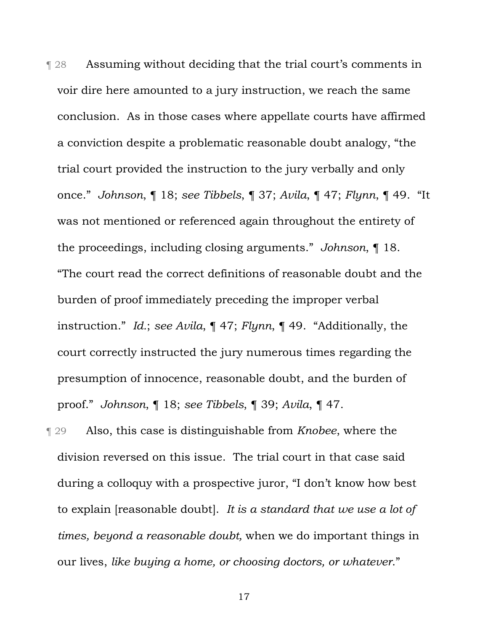¶ 28 Assuming without deciding that the trial court's comments in voir dire here amounted to a jury instruction, we reach the same conclusion. As in those cases where appellate courts have affirmed a conviction despite a problematic reasonable doubt analogy, "the trial court provided the instruction to the jury verbally and only once." *Johnson*, ¶ 18; *see Tibbels*, ¶ 37; *Avila*, ¶ 47; *Flynn*, ¶ 49. "It was not mentioned or referenced again throughout the entirety of the proceedings, including closing arguments." *Johnson*, ¶ 18. "The court read the correct definitions of reasonable doubt and the burden of proof immediately preceding the improper verbal instruction." *Id.*; *see Avila*, ¶ 47; *Flynn*, ¶ 49. "Additionally, the court correctly instructed the jury numerous times regarding the presumption of innocence, reasonable doubt, and the burden of proof." *Johnson*, ¶ 18; *see Tibbels*, ¶ 39; *Avila*, ¶ 47.

¶ 29 Also, this case is distinguishable from *Knobee*, where the division reversed on this issue. The trial court in that case said during a colloquy with a prospective juror, "I don't know how best to explain [reasonable doubt]. *It is a standard that we use a lot of times, beyond a reasonable doubt,* when we do important things in our lives, *like buying a home, or choosing doctors, or whatever*."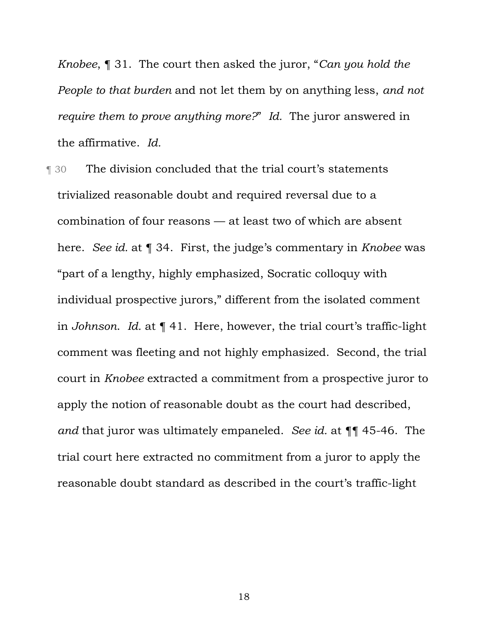*Knobee*, ¶ 31. The court then asked the juror, "*Can you hold the People to that burden* and not let them by on anything less, *and not require them to prove anything more?*" *Id.* The juror answered in the affirmative. *Id.*

¶ 30 The division concluded that the trial court's statements trivialized reasonable doubt and required reversal due to a combination of four reasons — at least two of which are absent here. *See id.* at ¶ 34. First, the judge's commentary in *Knobee* was "part of a lengthy, highly emphasized, Socratic colloquy with individual prospective jurors," different from the isolated comment in *Johnson*. *Id.* at ¶ 41. Here, however, the trial court's traffic-light comment was fleeting and not highly emphasized. Second, the trial court in *Knobee* extracted a commitment from a prospective juror to apply the notion of reasonable doubt as the court had described, *and* that juror was ultimately empaneled. *See id.* at ¶¶ 45-46. The trial court here extracted no commitment from a juror to apply the reasonable doubt standard as described in the court's traffic-light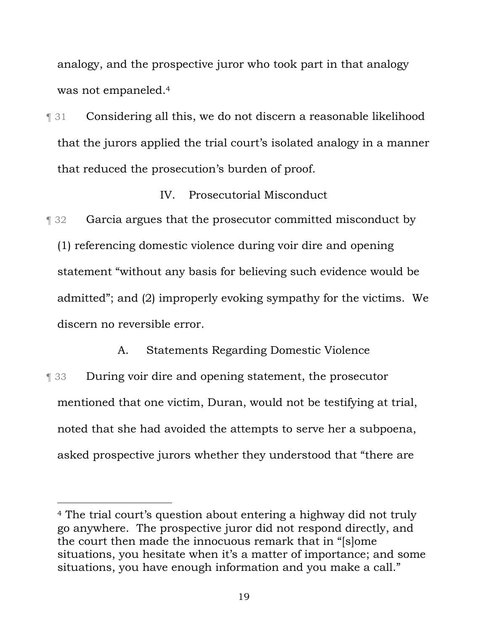analogy, and the prospective juror who took part in that analogy was not empaneled.4

¶ 31 Considering all this, we do not discern a reasonable likelihood that the jurors applied the trial court's isolated analogy in a manner that reduced the prosecution's burden of proof.

### IV. Prosecutorial Misconduct

**Term 32** Garcia argues that the prosecutor committed misconduct by (1) referencing domestic violence during voir dire and opening statement "without any basis for believing such evidence would be admitted"; and (2) improperly evoking sympathy for the victims. We discern no reversible error.

A. Statements Regarding Domestic Violence ¶ 33 During voir dire and opening statement, the prosecutor mentioned that one victim, Duran, would not be testifying at trial, noted that she had avoided the attempts to serve her a subpoena, asked prospective jurors whether they understood that "there are

<sup>4</sup> The trial court's question about entering a highway did not truly go anywhere. The prospective juror did not respond directly, and the court then made the innocuous remark that in "[s]ome situations, you hesitate when it's a matter of importance; and some situations, you have enough information and you make a call."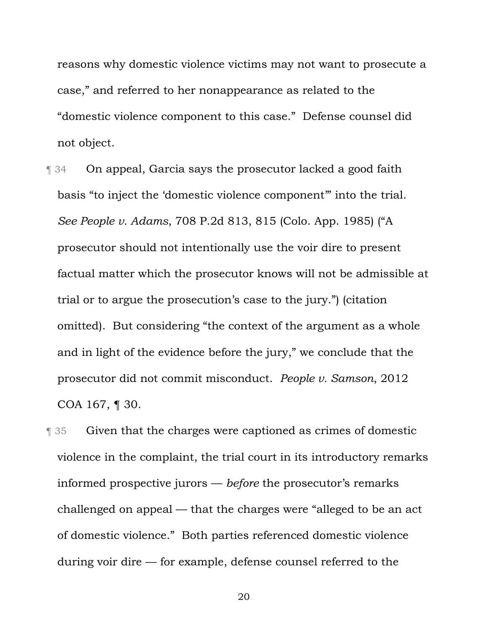reasons why domestic violence victims may not want to prosecute a case," and referred to her nonappearance as related to the "domestic violence component to this case." Defense counsel did not object.

¶ 34 On appeal, Garcia says the prosecutor lacked a good faith basis "to inject the 'domestic violence component'" into the trial. *See People v. Adams*, 708 P.2d 813, 815 (Colo. App. 1985) ("A prosecutor should not intentionally use the voir dire to present factual matter which the prosecutor knows will not be admissible at trial or to argue the prosecution's case to the jury.") (citation omitted). But considering "the context of the argument as a whole and in light of the evidence before the jury," we conclude that the prosecutor did not commit misconduct. *People v. Samson*, 2012 COA 167, ¶ 30.

¶ 35 Given that the charges were captioned as crimes of domestic violence in the complaint, the trial court in its introductory remarks informed prospective jurors — *before* the prosecutor's remarks challenged on appeal — that the charges were "alleged to be an act of domestic violence." Both parties referenced domestic violence during voir dire — for example, defense counsel referred to the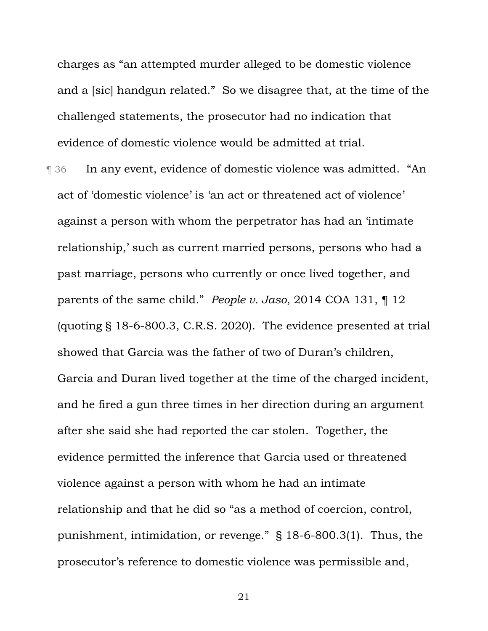charges as "an attempted murder alleged to be domestic violence and a [sic] handgun related." So we disagree that, at the time of the challenged statements, the prosecutor had no indication that evidence of domestic violence would be admitted at trial.

¶ 36 In any event, evidence of domestic violence was admitted. "An act of 'domestic violence' is 'an act or threatened act of violence' against a person with whom the perpetrator has had an 'intimate relationship,' such as current married persons, persons who had a past marriage, persons who currently or once lived together, and parents of the same child." *People v. Jaso*, 2014 COA 131, ¶ 12 (quoting § 18-6-800.3, C.R.S. 2020). The evidence presented at trial showed that Garcia was the father of two of Duran's children, Garcia and Duran lived together at the time of the charged incident, and he fired a gun three times in her direction during an argument after she said she had reported the car stolen. Together, the evidence permitted the inference that Garcia used or threatened violence against a person with whom he had an intimate relationship and that he did so "as a method of coercion, control, punishment, intimidation, or revenge." § 18-6-800.3(1). Thus, the prosecutor's reference to domestic violence was permissible and,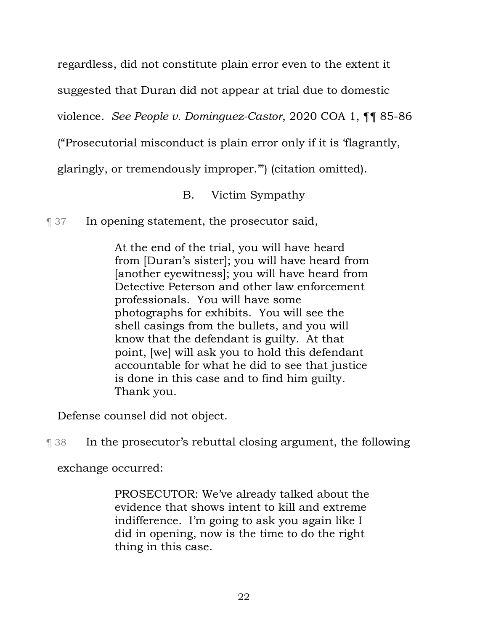regardless, did not constitute plain error even to the extent it

suggested that Duran did not appear at trial due to domestic

violence. *See People v. Dominguez-Castor*, 2020 COA 1, ¶¶ 85-86

("Prosecutorial misconduct is plain error only if it is 'flagrantly,

glaringly, or tremendously improper.'") (citation omitted).

B. Victim Sympathy

¶ 37 In opening statement, the prosecutor said,

At the end of the trial, you will have heard from [Duran's sister]; you will have heard from [another eyewitness]; you will have heard from Detective Peterson and other law enforcement professionals. You will have some photographs for exhibits. You will see the shell casings from the bullets, and you will know that the defendant is guilty. At that point, [we] will ask you to hold this defendant accountable for what he did to see that justice is done in this case and to find him guilty. Thank you.

Defense counsel did not object.

¶ 38 In the prosecutor's rebuttal closing argument, the following

exchange occurred:

PROSECUTOR: We've already talked about the evidence that shows intent to kill and extreme indifference. I'm going to ask you again like I did in opening, now is the time to do the right thing in this case.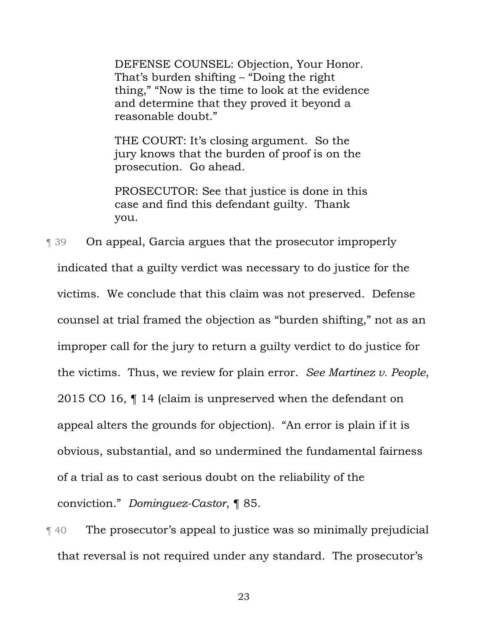DEFENSE COUNSEL: Objection, Your Honor. That's burden shifting – "Doing the right thing," "Now is the time to look at the evidence and determine that they proved it beyond a reasonable doubt."

THE COURT: It's closing argument. So the jury knows that the burden of proof is on the prosecution. Go ahead.

PROSECUTOR: See that justice is done in this case and find this defendant guilty. Thank you.

¶ 39 On appeal, Garcia argues that the prosecutor improperly indicated that a guilty verdict was necessary to do justice for the victims. We conclude that this claim was not preserved. Defense counsel at trial framed the objection as "burden shifting," not as an improper call for the jury to return a guilty verdict to do justice for the victims. Thus, we review for plain error. *See Martinez v. People*, 2015 CO 16, ¶ 14 (claim is unpreserved when the defendant on appeal alters the grounds for objection)*.* "An error is plain if it is obvious, substantial, and so undermined the fundamental fairness of a trial as to cast serious doubt on the reliability of the conviction." *Dominguez-Castor*, ¶ 85.

¶ 40 The prosecutor's appeal to justice was so minimally prejudicial that reversal is not required under any standard. The prosecutor's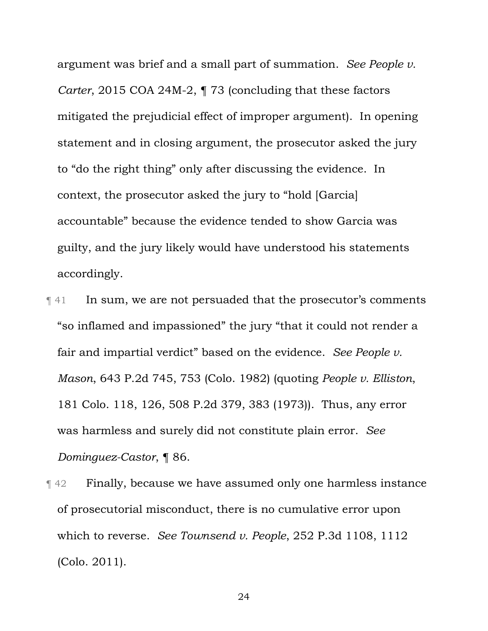argument was brief and a small part of summation. *See People v. Carter*, 2015 COA 24M-2,  $\P$  73 (concluding that these factors mitigated the prejudicial effect of improper argument). In opening statement and in closing argument, the prosecutor asked the jury to "do the right thing" only after discussing the evidence. In context, the prosecutor asked the jury to "hold [Garcia] accountable" because the evidence tended to show Garcia was guilty, and the jury likely would have understood his statements accordingly.

- ¶ 41 In sum, we are not persuaded that the prosecutor's comments "so inflamed and impassioned" the jury "that it could not render a fair and impartial verdict" based on the evidence. *See People v. Mason*, 643 P.2d 745, 753 (Colo. 1982) (quoting *People v. Elliston*, 181 Colo. 118, 126, 508 P.2d 379, 383 (1973)). Thus, any error was harmless and surely did not constitute plain error. *See Dominguez-Castor*, ¶ 86.
- **Term Finally, because we have assumed only one harmless instance** of prosecutorial misconduct, there is no cumulative error upon which to reverse. *See Townsend v. People*, 252 P.3d 1108, 1112 (Colo. 2011).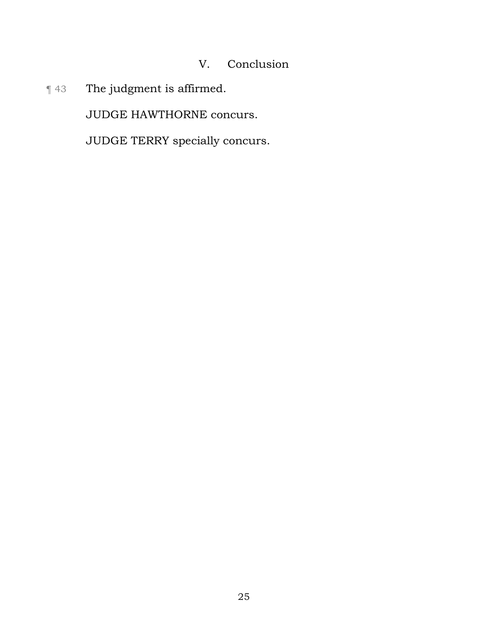# V. Conclusion

¶ 43 The judgment is affirmed.

JUDGE HAWTHORNE concurs.

JUDGE TERRY specially concurs.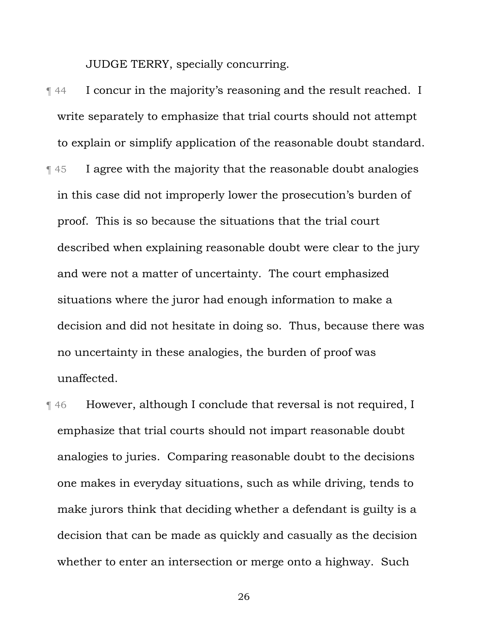JUDGE TERRY, specially concurring.

- ¶ 44 I concur in the majority's reasoning and the result reached. I write separately to emphasize that trial courts should not attempt to explain or simplify application of the reasonable doubt standard. ¶ 45 I agree with the majority that the reasonable doubt analogies in this case did not improperly lower the prosecution's burden of proof. This is so because the situations that the trial court described when explaining reasonable doubt were clear to the jury and were not a matter of uncertainty. The court emphasized situations where the juror had enough information to make a decision and did not hesitate in doing so. Thus, because there was no uncertainty in these analogies, the burden of proof was unaffected.
- ¶ 46 However, although I conclude that reversal is not required, I emphasize that trial courts should not impart reasonable doubt analogies to juries. Comparing reasonable doubt to the decisions one makes in everyday situations, such as while driving, tends to make jurors think that deciding whether a defendant is guilty is a decision that can be made as quickly and casually as the decision whether to enter an intersection or merge onto a highway. Such